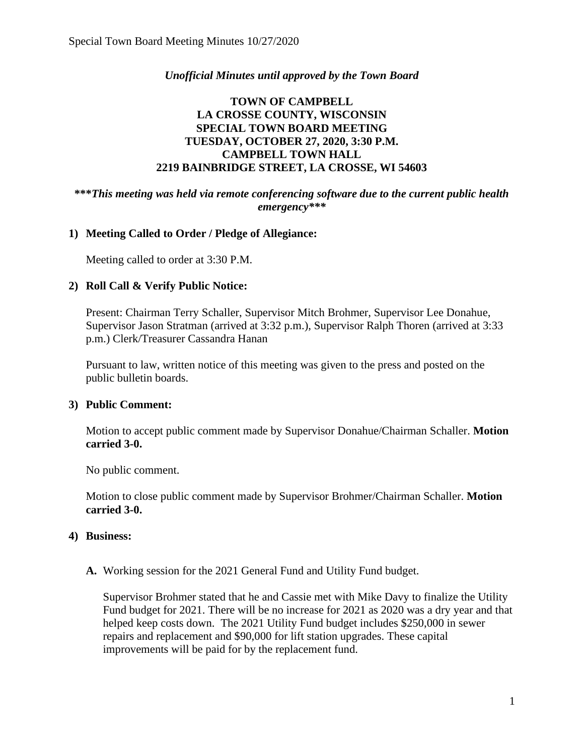## *Unofficial Minutes until approved by the Town Board*

# **TOWN OF CAMPBELL LA CROSSE COUNTY, WISCONSIN SPECIAL TOWN BOARD MEETING TUESDAY, OCTOBER 27, 2020, 3:30 P.M. CAMPBELL TOWN HALL 2219 BAINBRIDGE STREET, LA CROSSE, WI 54603**

#### **\*\*\****This meeting was held via remote conferencing software due to the current public health emergency\*\*\**

#### **1) Meeting Called to Order / Pledge of Allegiance:**

Meeting called to order at 3:30 P.M.

#### **2) Roll Call & Verify Public Notice:**

Present: Chairman Terry Schaller, Supervisor Mitch Brohmer, Supervisor Lee Donahue, Supervisor Jason Stratman (arrived at 3:32 p.m.), Supervisor Ralph Thoren (arrived at 3:33 p.m.) Clerk/Treasurer Cassandra Hanan

Pursuant to law, written notice of this meeting was given to the press and posted on the public bulletin boards.

#### **3) Public Comment:**

Motion to accept public comment made by Supervisor Donahue/Chairman Schaller. **Motion carried 3-0.**

No public comment.

Motion to close public comment made by Supervisor Brohmer/Chairman Schaller. **Motion carried 3-0.** 

#### **4) Business:**

**A.** Working session for the 2021 General Fund and Utility Fund budget.

Supervisor Brohmer stated that he and Cassie met with Mike Davy to finalize the Utility Fund budget for 2021. There will be no increase for 2021 as 2020 was a dry year and that helped keep costs down. The 2021 Utility Fund budget includes \$250,000 in sewer repairs and replacement and \$90,000 for lift station upgrades. These capital improvements will be paid for by the replacement fund.